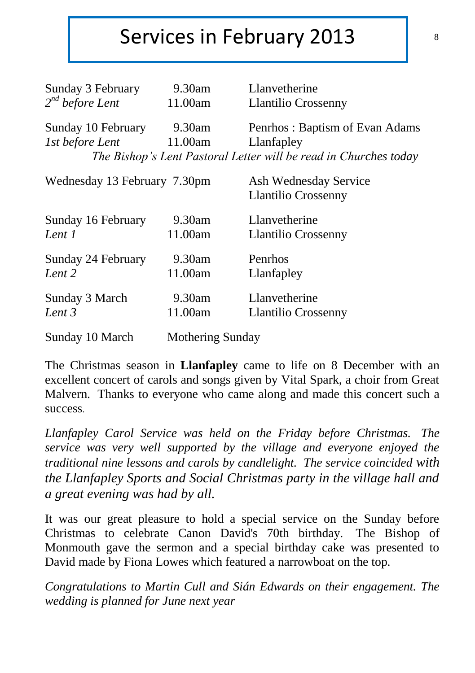### Services in February 2013

| Sunday 3 February            | 9.30am           | <b>Llanvetherine</b>                                             |
|------------------------------|------------------|------------------------------------------------------------------|
| $2^{nd}$ before Lent         | 11.00am          | <b>Llantilio Crossenny</b>                                       |
| Sunday 10 February           | 9.30am           | Penrhos: Baptism of Evan Adams                                   |
| 1st before Lent              | 11.00am          | Llanfapley                                                       |
|                              |                  | The Bishop's Lent Pastoral Letter will be read in Churches today |
|                              |                  |                                                                  |
| Wednesday 13 February 7.30pm |                  | Ash Wednesday Service                                            |
|                              |                  | Llantilio Crossenny                                              |
| Sunday 16 February           | 9.30am           | Llanvetherine                                                    |
| Lent 1                       | 11.00am          | <b>Llantilio Crossenny</b>                                       |
| Sunday 24 February           | 9.30am           | Penrhos                                                          |
| Lent 2                       | 11.00am          | Llanfapley                                                       |
|                              |                  |                                                                  |
| Sunday 3 March               | 9.30am           | Llanvetherine                                                    |
| Lent 3                       | 11.00am          | Llantilio Crossenny                                              |
|                              |                  |                                                                  |
| Sunday 10 March              | Mothering Sunday |                                                                  |

The Christmas season in **Llanfapley** came to life on 8 December with an excellent concert of carols and songs given by Vital Spark, a choir from Great Malvern. Thanks to everyone who came along and made this concert such a success.

*Llanfapley Carol Service was held on the Friday before Christmas. The service was very well supported by the village and everyone enjoyed the traditional nine lessons and carols by candlelight. The service coincided with the Llanfapley Sports and Social Christmas party in the village hall and a great evening was had by all.*

It was our great pleasure to hold a special service on the Sunday before Christmas to celebrate Canon David's 70th birthday. The Bishop of Monmouth gave the sermon and a special birthday cake was presented to David made by Fiona Lowes which featured a narrowboat on the top.

*Congratulations to Martin Cull and Sián Edwards on their engagement. The wedding is planned for June next year*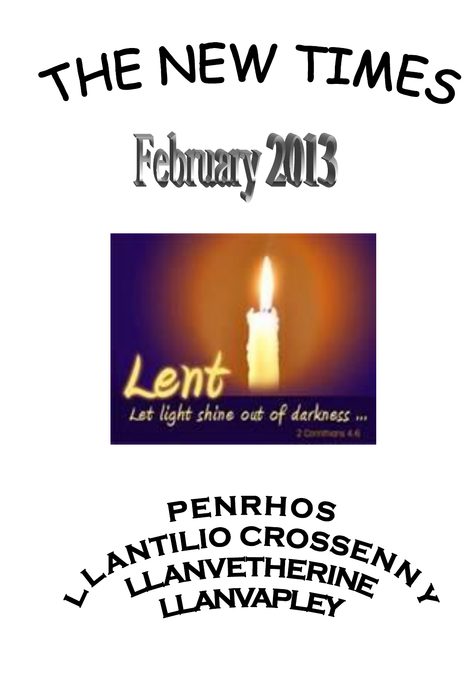# THE NEW TIMES February 2013



# **PENRHOS** LANTILIO CROSSEN **LANVAPLEY**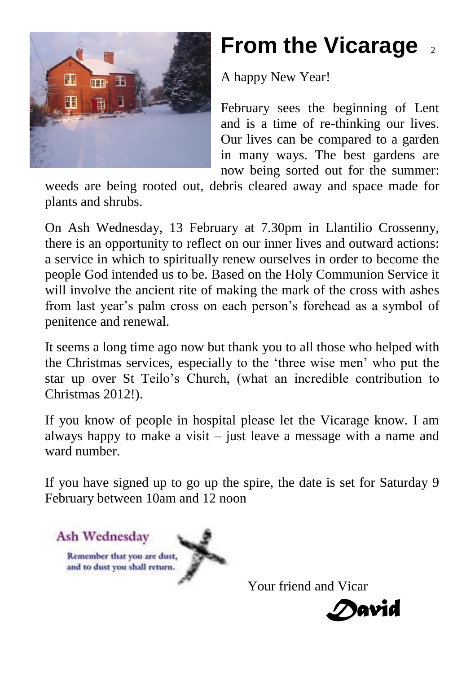

## **From the Vicarage**

A happy New Year!

February sees the beginning of Lent and is a time of re-thinking our lives. Our lives can be compared to a garden in many ways. The best gardens are now being sorted out for the summer:

weeds are being rooted out, debris cleared away and space made for plants and shrubs.

On Ash Wednesday, 13 February at 7.30pm in Llantilio Crossenny, there is an opportunity to reflect on our inner lives and outward actions: a service in which to spiritually renew ourselves in order to become the people God intended us to be. Based on the Holy Communion Service it will involve the ancient rite of making the mark of the cross with ashes from last year's palm cross on each person's forehead as a symbol of penitence and renewal.

It seems a long time ago now but thank you to all those who helped with the Christmas services, especially to the 'three wise men' who put the star up over St Teilo's Church, (what an incredible contribution to Christmas 2012!).

If you know of people in hospital please let the Vicarage know. I am always happy to make a visit – just leave a message with a name and ward number.

If you have signed up to go up the spire, the date is set for Saturday 9 February between 10am and 12 noon



Your friend and Vicar

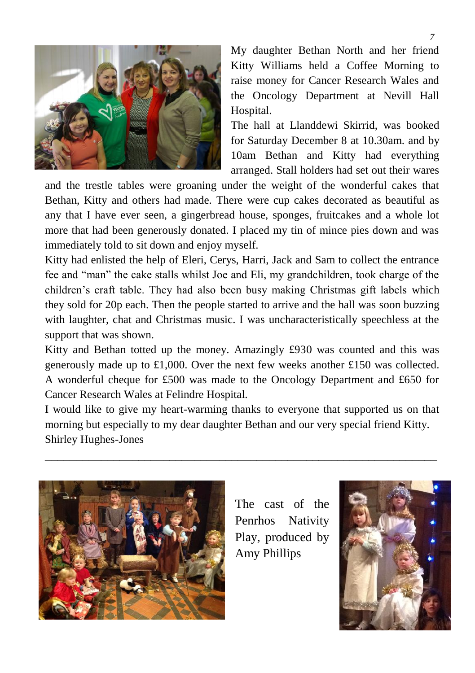

My daughter Bethan North and her friend Kitty Williams held a Coffee Morning to raise money for Cancer Research Wales and the Oncology Department at Nevill Hall Hospital.

The hall at Llanddewi Skirrid, was booked for Saturday December 8 at 10.30am. and by 10am Bethan and Kitty had everything arranged. Stall holders had set out their wares

and the trestle tables were groaning under the weight of the wonderful cakes that Bethan, Kitty and others had made. There were cup cakes decorated as beautiful as any that I have ever seen, a gingerbread house, sponges, fruitcakes and a whole lot more that had been generously donated. I placed my tin of mince pies down and was immediately told to sit down and enjoy myself.

Kitty had enlisted the help of Eleri, Cerys, Harri, Jack and Sam to collect the entrance fee and "man" the cake stalls whilst Joe and Eli, my grandchildren, took charge of the children's craft table. They had also been busy making Christmas gift labels which they sold for 20p each. Then the people started to arrive and the hall was soon buzzing with laughter, chat and Christmas music. I was uncharacteristically speechless at the support that was shown.

Kitty and Bethan totted up the money. Amazingly £930 was counted and this was generously made up to £1,000. Over the next few weeks another £150 was collected. A wonderful cheque for £500 was made to the Oncology Department and £650 for Cancer Research Wales at Felindre Hospital.

I would like to give my heart-warming thanks to everyone that supported us on that morning but especially to my dear daughter Bethan and our very special friend Kitty. Shirley Hughes-Jones

\_\_\_\_\_\_\_\_\_\_\_\_\_\_\_\_\_\_\_\_\_\_\_\_\_\_\_\_\_\_\_\_\_\_\_\_\_\_\_\_\_\_\_\_\_\_\_\_\_\_\_\_\_\_\_\_\_\_\_\_\_\_\_



The cast of the Penrhos Nativity Play, produced by Amy Phillips

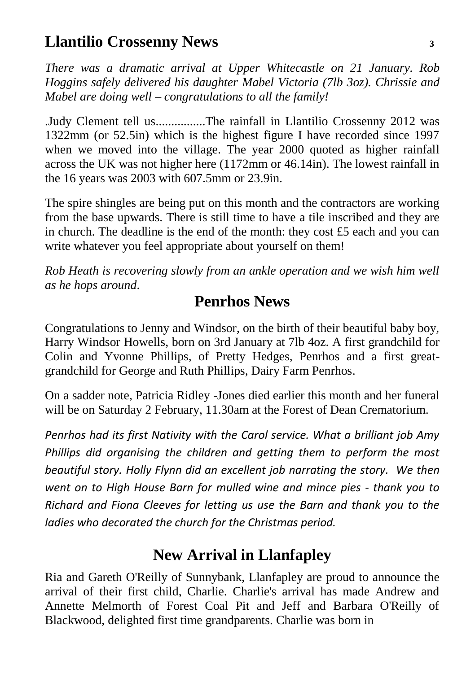#### **Llantilio Crossenny News <sup>3</sup>**

*There was a dramatic arrival at Upper Whitecastle on 21 January. Rob Hoggins safely delivered his daughter Mabel Victoria (7lb 3oz). Chrissie and Mabel are doing well – congratulations to all the family!*

.Judy Clement tell us................The rainfall in Llantilio Crossenny 2012 was 1322mm (or 52.5in) which is the highest figure I have recorded since 1997 when we moved into the village. The year 2000 quoted as higher rainfall across the UK was not higher here (1172mm or 46.14in). The lowest rainfall in the 16 years was 2003 with 607.5mm or 23.9in.

The spire shingles are being put on this month and the contractors are working from the base upwards. There is still time to have a tile inscribed and they are in church. The deadline is the end of the month: they cost  $\pounds$  each and you can write whatever you feel appropriate about yourself on them!

*Rob Heath is recovering slowly from an ankle operation and we wish him well as he hops around*.

#### **Penrhos News**

Congratulations to Jenny and Windsor, on the birth of their beautiful baby boy, Harry Windsor Howells, born on 3rd January at 7lb 4oz. A first grandchild for Colin and Yvonne Phillips, of Pretty Hedges, Penrhos and a first greatgrandchild for George and Ruth Phillips, Dairy Farm Penrhos.

On a sadder note, Patricia Ridley -Jones died earlier this month and her funeral will be on Saturday 2 February, 11.30am at the Forest of Dean Crematorium.

*Penrhos had its first Nativity with the Carol service. What a brilliant job Amy Phillips did organising the children and getting them to perform the most beautiful story. Holly Flynn did an excellent job narrating the story. We then went on to High House Barn for mulled wine and mince pies - thank you to Richard and Fiona Cleeves for letting us use the Barn and thank you to the ladies who decorated the church for the Christmas period.*

#### **New Arrival in Llanfapley**

Ria and Gareth O'Reilly of Sunnybank, Llanfapley are proud to announce the arrival of their first child, Charlie. Charlie's arrival has made Andrew and Annette Melmorth of Forest Coal Pit and Jeff and Barbara O'Reilly of Blackwood, delighted first time grandparents. Charlie was born in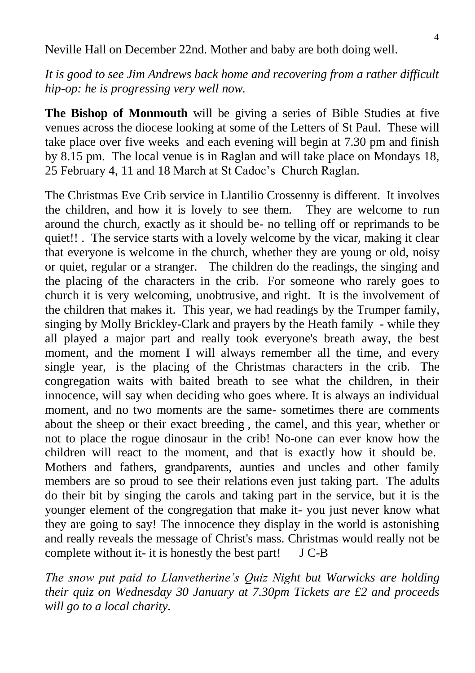Neville Hall on December 22nd. Mother and baby are both doing well.

*It is good to see Jim Andrews back home and recovering from a rather difficult hip-op: he is progressing very well now.*

**The Bishop of Monmouth** will be giving a series of Bible Studies at five venues across the diocese looking at some of the Letters of St Paul. These will take place over five weeks and each evening will begin at 7.30 pm and finish by 8.15 pm. The local venue is in Raglan and will take place on Mondays 18, 25 February 4, 11 and 18 March at St Cadoc's Church Raglan.

The Christmas Eve Crib service in Llantilio Crossenny is different. It involves the children, and how it is lovely to see them. They are welcome to run around the church, exactly as it should be- no telling off or reprimands to be quiet!! . The service starts with a lovely welcome by the vicar, making it clear that everyone is welcome in the church, whether they are young or old, noisy or quiet, regular or a stranger. The children do the readings, the singing and the placing of the characters in the crib. For someone who rarely goes to church it is very welcoming, unobtrusive, and right. It is the involvement of the children that makes it. This year, we had readings by the Trumper family, singing by Molly Brickley-Clark and prayers by the Heath family - while they all played a major part and really took everyone's breath away, the best moment, and the moment I will always remember all the time, and every single year, is the placing of the Christmas characters in the crib. The congregation waits with baited breath to see what the children, in their innocence, will say when deciding who goes where. It is always an individual moment, and no two moments are the same- sometimes there are comments about the sheep or their exact breeding , the camel, and this year, whether or not to place the rogue dinosaur in the crib! No-one can ever know how the children will react to the moment, and that is exactly how it should be. Mothers and fathers, grandparents, aunties and uncles and other family members are so proud to see their relations even just taking part. The adults do their bit by singing the carols and taking part in the service, but it is the younger element of the congregation that make it- you just never know what they are going to say! The innocence they display in the world is astonishing and really reveals the message of Christ's mass. Christmas would really not be complete without it- it is honestly the best part! J C-B

*The snow put paid to Llanvetherine's Quiz Night but Warwicks are holding their quiz on Wednesday 30 January at 7.30pm Tickets are £2 and proceeds will go to a local charity.*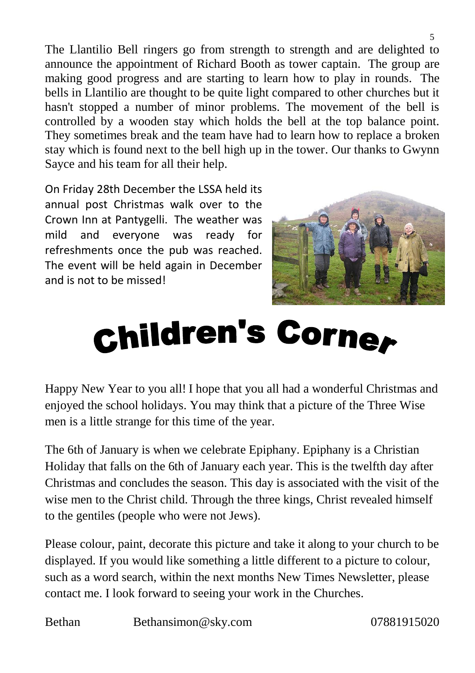The Llantilio Bell ringers go from strength to strength and are delighted to announce the appointment of Richard Booth as tower captain. The group are making good progress and are starting to learn how to play in rounds. The bells in Llantilio are thought to be quite light compared to other churches but it hasn't stopped a number of minor problems. The movement of the bell is controlled by a wooden stay which holds the bell at the top balance point. They sometimes break and the team have had to learn how to replace a broken stay which is found next to the bell high up in the tower. Our thanks to Gwynn Sayce and his team for all their help.

On Friday 28th December the LSSA held its annual post Christmas walk over to the Crown Inn at Pantygelli. The weather was mild and everyone was ready for refreshments once the pub was reached. The event will be held again in December and is not to be missed!



## **Children's Corner**

Happy New Year to you all! I hope that you all had a wonderful Christmas and enjoyed the school holidays. You may think that a picture of the Three Wise men is a little strange for this time of the year.

The 6th of January is when we celebrate Epiphany. Epiphany is a Christian Holiday that falls on the 6th of January each year. This is the twelfth day after Christmas and concludes the season. This day is associated with the visit of the wise men to the Christ child. Through the three kings, Christ revealed himself to the gentiles (people who were not Jews).

Please colour, paint, decorate this picture and take it along to your church to be displayed. If you would like something a little different to a picture to colour, such as a word search, within the next months New Times Newsletter, please contact me. I look forward to seeing your work in the Churches.

Bethan Bethansimon@sky.com 07881915020